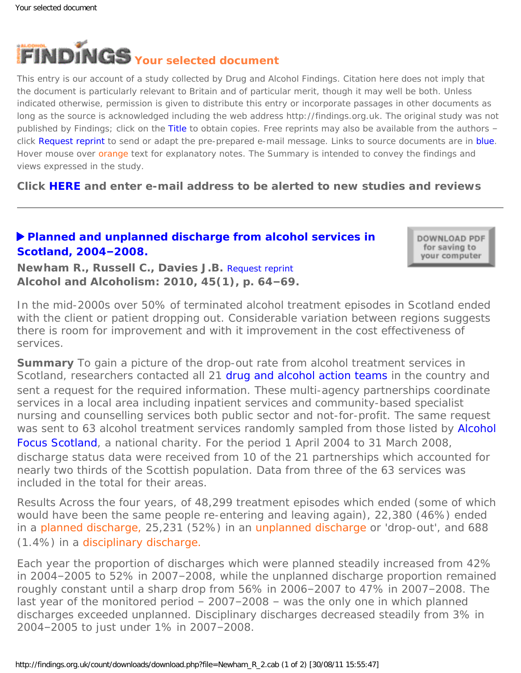<span id="page-0-0"></span>

This entry is our account of a study collected by Drug and Alcohol Findings. Citation here does not imply that the document is particularly relevant to Britain and of particular merit, though it may well be both. Unless indicated otherwise, permission is given to distribute this entry or incorporate passages in other documents as long as the source is acknowledged including the web address http://findings.org.uk. The original study was not published by Findings; click on the Title to obtain copies. Free reprints may also be available from the authors – click Request reprint to send or adapt the pre-prepared e-mail message. Links to source documents are in blue. Hover mouse over orange text for explanatory notes. The Summary is intended to convey the findings and views expressed in the study.

**Click [HERE](https://findings.org.uk/index.php#signUp) and enter e-mail address to be alerted to new studies and reviews**

## **[Planned and unplanned discharge from alcohol services in](http://dx.doi.org/10.1093/alcalc/agp081) [Scotland, 2004](http://dx.doi.org/10.1093/alcalc/agp081)–2008.**

DOWNLOAD PDF for saving to your computer

**Newham R., Russell C., Davies J.B.** [Request reprint](mailto:rosemary.e.newham@strath.ac.uk?Subject=Reprint%2520request&body=Dear%20Dr%20Newham%250A%250AOn%20the%20Drug%20and%20Alcohol%20Findings%20web%20site%20(https://findings.org.uk)%20I%20read%20about%20your%20article:%250ANewham%20R.,%20Russell%20C.,%20Davies%20J.B.%20Planned%20and%20unplanned%20discharge%20from%20alcohol%20services%20in%20Scotland,%202004%E2%80%932008.%20Alcohol%20and%20Alcoholism:%202010,%2045(1),%20p.%2064-69.%250A%250AWould%20it%20be%20possible%20to%20for%20me%20to%20be%20sent%20a%20PDF%20reprint%20or%20the%20manuscript%20by%20return%20e-mail?%250A) **Alcohol and Alcoholism: 2010, 45(1), p. 64–69.**

*In the mid-2000s over 50% of terminated alcohol treatment episodes in Scotland ended with the client or patient dropping out. Considerable variation between regions suggests there is room for improvement and with it improvement in the cost effectiveness of services.*

**Summary** To gain a picture of the drop-out rate from alcohol treatment services in Scotland, researchers contacted all 21 [drug and alcohol action teams](http://www.drugmisuse.isdscotland.org/dat/dat.htm) in the country and sent a request for the required information. These multi-agency partnerships coordinate services in a local area including inpatient services and community-based specialist nursing and counselling services both public sector and not-for-profit. The same request was sent to 63 alcohol treatment services randomly sampled from those listed by [Alcohol](http://www.alcohol-focus-scotland.org.uk/) [Focus Scotland](http://www.alcohol-focus-scotland.org.uk/), a national charity. For the period 1 April 2004 to 31 March 2008, discharge status data were received from 10 of the 21 partnerships which accounted for nearly two thirds of the Scottish population. Data from three of the 63 services was included in the total for their areas.

*Results* Across the four years, of 48,299 treatment episodes which ended (some of which would have been the same people re-entering and leaving again), 22,380 (46%) ended in a [planned discharge,](#page-0-0) 25,231 (52%) in an [unplanned discharge](#page-0-0) or 'drop-out', and 688 (1.4%) in a [disciplinary discharge.](#page-0-0) 

Each year the proportion of discharges which were planned steadily increased from 42% in 2004–2005 to 52% in 2007–2008, while the unplanned discharge proportion remained roughly constant until a sharp drop from 56% in 2006–2007 to 47% in 2007–2008. The last year of the monitored period – 2007–2008 – was the only one in which planned discharges exceeded unplanned. Disciplinary discharges decreased steadily from 3% in 2004–2005 to just under 1% in 2007–2008.